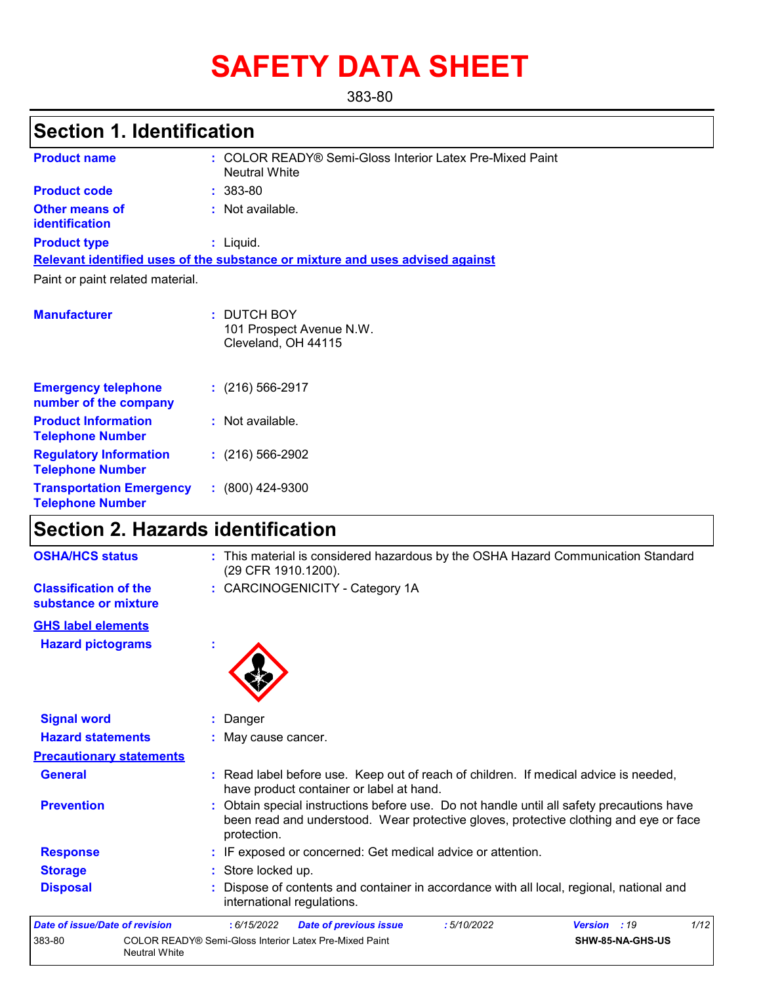# **SAFETY DATA SHEET**

383-80

## **Section 1. Identification**

| <b>Product name</b>                                        | : COLOR READY® Semi-Gloss Interior Latex Pre-Mixed Paint<br><b>Neutral White</b> |
|------------------------------------------------------------|----------------------------------------------------------------------------------|
| <b>Product code</b>                                        | $: 383-80$                                                                       |
| <b>Other means of</b><br>identification                    | : Not available.                                                                 |
| <b>Product type</b>                                        | $:$ Liquid.                                                                      |
|                                                            | Relevant identified uses of the substance or mixture and uses advised against    |
| Paint or paint related material.                           |                                                                                  |
|                                                            |                                                                                  |
| <b>Manufacturer</b>                                        | : DUTCH BOY<br>101 Prospect Avenue N.W.<br>Cleveland, OH 44115                   |
| <b>Emergency telephone</b><br>number of the company        | $: (216) 566 - 2917$                                                             |
| <b>Product Information</b><br><b>Telephone Number</b>      | : Not available.                                                                 |
| <b>Regulatory Information</b><br><b>Telephone Number</b>   | $(216)$ 566-2902                                                                 |
| <b>Transportation Emergency</b><br><b>Telephone Number</b> | $: (800)$ 424-9300                                                               |

## **Section 2. Hazards identification**

| <b>OSHA/HCS status</b>                               | : This material is considered hazardous by the OSHA Hazard Communication Standard<br>(29 CFR 1910.1200).                                                                                          |
|------------------------------------------------------|---------------------------------------------------------------------------------------------------------------------------------------------------------------------------------------------------|
| <b>Classification of the</b><br>substance or mixture | : CARCINOGENICITY - Category 1A                                                                                                                                                                   |
| <b>GHS label elements</b>                            |                                                                                                                                                                                                   |
| <b>Hazard pictograms</b>                             |                                                                                                                                                                                                   |
| <b>Signal word</b>                                   | Danger                                                                                                                                                                                            |
| <b>Hazard statements</b>                             | : May cause cancer.                                                                                                                                                                               |
| <b>Precautionary statements</b>                      |                                                                                                                                                                                                   |
| <b>General</b>                                       | : Read label before use. Keep out of reach of children. If medical advice is needed,<br>have product container or label at hand.                                                                  |
| <b>Prevention</b>                                    | : Obtain special instructions before use. Do not handle until all safety precautions have<br>been read and understood. Wear protective gloves, protective clothing and eye or face<br>protection. |
| <b>Response</b>                                      | : IF exposed or concerned: Get medical advice or attention.                                                                                                                                       |
| <b>Storage</b>                                       | Store locked up.                                                                                                                                                                                  |
| <b>Disposal</b>                                      | Dispose of contents and container in accordance with all local, regional, national and<br>international regulations.                                                                              |
| Date of issue/Date of revision                       | 1/12<br>: 6/15/2022<br><b>Date of previous issue</b><br>:5/10/2022<br>Version : 19                                                                                                                |
| 383-80                                               | COLOR READY® Semi-Gloss Interior Latex Pre-Mixed Paint<br>SHW-85-NA-GHS-US<br><b>Neutral White</b>                                                                                                |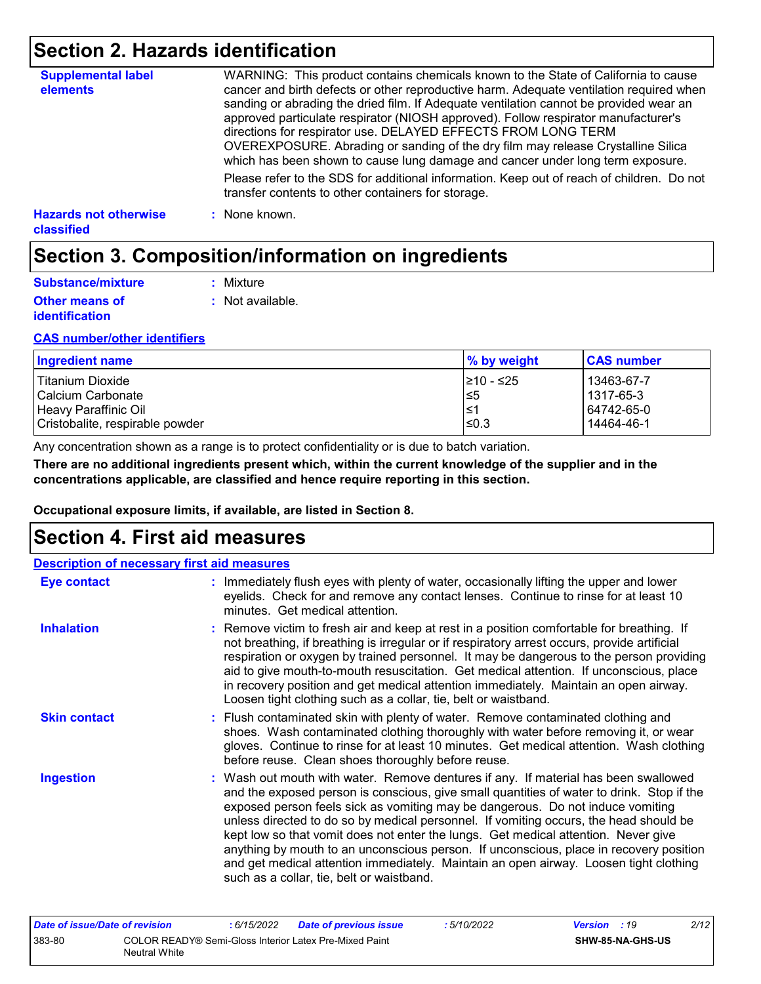## **Section 2. Hazards identification**

| <b>Supplemental label</b><br>elements      | WARNING: This product contains chemicals known to the State of California to cause<br>cancer and birth defects or other reproductive harm. Adequate ventilation required when<br>sanding or abrading the dried film. If Adequate ventilation cannot be provided wear an<br>approved particulate respirator (NIOSH approved). Follow respirator manufacturer's<br>directions for respirator use. DELAYED EFFECTS FROM LONG TERM<br>OVEREXPOSURE. Abrading or sanding of the dry film may release Crystalline Silica<br>which has been shown to cause lung damage and cancer under long term exposure. |
|--------------------------------------------|------------------------------------------------------------------------------------------------------------------------------------------------------------------------------------------------------------------------------------------------------------------------------------------------------------------------------------------------------------------------------------------------------------------------------------------------------------------------------------------------------------------------------------------------------------------------------------------------------|
|                                            | Please refer to the SDS for additional information. Keep out of reach of children. Do not<br>transfer contents to other containers for storage.                                                                                                                                                                                                                                                                                                                                                                                                                                                      |
| <b>Hazards not otherwise</b><br>classified | : None known.                                                                                                                                                                                                                                                                                                                                                                                                                                                                                                                                                                                        |

## **Section 3. Composition/information on ingredients**

| Substance/mixture                              | : Mixture        |
|------------------------------------------------|------------------|
| <b>Other means of</b><br><i>identification</i> | : Not available. |

#### **CAS number/other identifiers**

| Ingredient name                 | % by weight | <b>CAS number</b> |
|---------------------------------|-------------|-------------------|
| Titanium Dioxide                | 1≥10 - ≤25  | 13463-67-7        |
| l Calcium Carbonate             | l≤5         | l 1317-65-3       |
| Heavy Paraffinic Oil            | 1≥ا         | 64742-65-0        |
| Cristobalite, respirable powder | l≤0.3       | 14464-46-1        |

Any concentration shown as a range is to protect confidentiality or is due to batch variation.

**There are no additional ingredients present which, within the current knowledge of the supplier and in the concentrations applicable, are classified and hence require reporting in this section.**

**Occupational exposure limits, if available, are listed in Section 8.**

### **Section 4. First aid measures**

| <b>Description of necessary first aid measures</b> |                                                                                                                                                                                                                                                                                                                                                                                                                                                                                                                                                                                                                                                                                   |
|----------------------------------------------------|-----------------------------------------------------------------------------------------------------------------------------------------------------------------------------------------------------------------------------------------------------------------------------------------------------------------------------------------------------------------------------------------------------------------------------------------------------------------------------------------------------------------------------------------------------------------------------------------------------------------------------------------------------------------------------------|
| <b>Eye contact</b>                                 | : Immediately flush eyes with plenty of water, occasionally lifting the upper and lower<br>eyelids. Check for and remove any contact lenses. Continue to rinse for at least 10<br>minutes. Get medical attention.                                                                                                                                                                                                                                                                                                                                                                                                                                                                 |
| <b>Inhalation</b>                                  | : Remove victim to fresh air and keep at rest in a position comfortable for breathing. If<br>not breathing, if breathing is irregular or if respiratory arrest occurs, provide artificial<br>respiration or oxygen by trained personnel. It may be dangerous to the person providing<br>aid to give mouth-to-mouth resuscitation. Get medical attention. If unconscious, place<br>in recovery position and get medical attention immediately. Maintain an open airway.<br>Loosen tight clothing such as a collar, tie, belt or waistband.                                                                                                                                         |
| <b>Skin contact</b>                                | : Flush contaminated skin with plenty of water. Remove contaminated clothing and<br>shoes. Wash contaminated clothing thoroughly with water before removing it, or wear<br>gloves. Continue to rinse for at least 10 minutes. Get medical attention. Wash clothing<br>before reuse. Clean shoes thoroughly before reuse.                                                                                                                                                                                                                                                                                                                                                          |
| <b>Ingestion</b>                                   | : Wash out mouth with water. Remove dentures if any. If material has been swallowed<br>and the exposed person is conscious, give small quantities of water to drink. Stop if the<br>exposed person feels sick as vomiting may be dangerous. Do not induce vomiting<br>unless directed to do so by medical personnel. If vomiting occurs, the head should be<br>kept low so that vomit does not enter the lungs. Get medical attention. Never give<br>anything by mouth to an unconscious person. If unconscious, place in recovery position<br>and get medical attention immediately. Maintain an open airway. Loosen tight clothing<br>such as a collar, tie, belt or waistband. |

| Date of issue/Date of revision |                                                                                | : 6/15/2022 | <b>Date of previous issue</b> | : 5/10/2022 | <b>Version</b> : 19 |                         | 2/12 |
|--------------------------------|--------------------------------------------------------------------------------|-------------|-------------------------------|-------------|---------------------|-------------------------|------|
| 383-80                         | COLOR READY® Semi-Gloss Interior Latex Pre-Mixed Paint<br><b>Neutral White</b> |             |                               |             |                     | <b>SHW-85-NA-GHS-US</b> |      |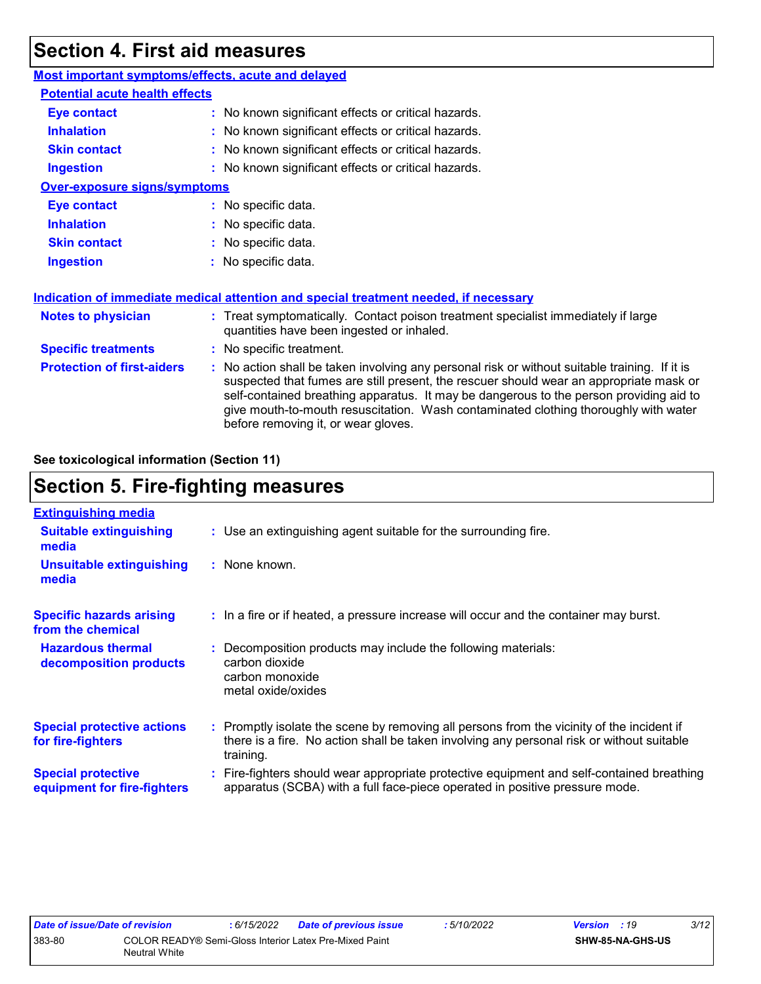## **Section 4. First aid measures**

| Most important symptoms/effects, acute and delayed |                                                                                                                                                                                                                                                                                                                                                                                                                 |
|----------------------------------------------------|-----------------------------------------------------------------------------------------------------------------------------------------------------------------------------------------------------------------------------------------------------------------------------------------------------------------------------------------------------------------------------------------------------------------|
| <b>Potential acute health effects</b>              |                                                                                                                                                                                                                                                                                                                                                                                                                 |
| <b>Eye contact</b>                                 | : No known significant effects or critical hazards.                                                                                                                                                                                                                                                                                                                                                             |
| <b>Inhalation</b>                                  | : No known significant effects or critical hazards.                                                                                                                                                                                                                                                                                                                                                             |
| <b>Skin contact</b>                                | : No known significant effects or critical hazards.                                                                                                                                                                                                                                                                                                                                                             |
| <b>Ingestion</b>                                   | : No known significant effects or critical hazards.                                                                                                                                                                                                                                                                                                                                                             |
| <b>Over-exposure signs/symptoms</b>                |                                                                                                                                                                                                                                                                                                                                                                                                                 |
| <b>Eye contact</b>                                 | : No specific data.                                                                                                                                                                                                                                                                                                                                                                                             |
| <b>Inhalation</b>                                  | : No specific data.                                                                                                                                                                                                                                                                                                                                                                                             |
| <b>Skin contact</b>                                | : No specific data.                                                                                                                                                                                                                                                                                                                                                                                             |
| <b>Ingestion</b>                                   | : No specific data.                                                                                                                                                                                                                                                                                                                                                                                             |
|                                                    | Indication of immediate medical attention and special treatment needed, if necessary                                                                                                                                                                                                                                                                                                                            |
| <b>Notes to physician</b>                          | : Treat symptomatically. Contact poison treatment specialist immediately if large<br>quantities have been ingested or inhaled.                                                                                                                                                                                                                                                                                  |
| <b>Specific treatments</b>                         | : No specific treatment.                                                                                                                                                                                                                                                                                                                                                                                        |
| <b>Protection of first-aiders</b>                  | : No action shall be taken involving any personal risk or without suitable training. If it is<br>suspected that fumes are still present, the rescuer should wear an appropriate mask or<br>self-contained breathing apparatus. It may be dangerous to the person providing aid to<br>give mouth-to-mouth resuscitation. Wash contaminated clothing thoroughly with water<br>before removing it, or wear gloves. |

**See toxicological information (Section 11)**

## **Section 5. Fire-fighting measures**

| <b>Extinguishing media</b>                               |                                                                                                                                                                                                     |
|----------------------------------------------------------|-----------------------------------------------------------------------------------------------------------------------------------------------------------------------------------------------------|
| <b>Suitable extinguishing</b><br>media                   | : Use an extinguishing agent suitable for the surrounding fire.                                                                                                                                     |
| <b>Unsuitable extinguishing</b><br>media                 | : None known.                                                                                                                                                                                       |
| <b>Specific hazards arising</b><br>from the chemical     | : In a fire or if heated, a pressure increase will occur and the container may burst.                                                                                                               |
| <b>Hazardous thermal</b><br>decomposition products       | Decomposition products may include the following materials:<br>carbon dioxide<br>carbon monoxide<br>metal oxide/oxides                                                                              |
| <b>Special protective actions</b><br>for fire-fighters   | : Promptly isolate the scene by removing all persons from the vicinity of the incident if<br>there is a fire. No action shall be taken involving any personal risk or without suitable<br>training. |
| <b>Special protective</b><br>equipment for fire-fighters | Fire-fighters should wear appropriate protective equipment and self-contained breathing<br>apparatus (SCBA) with a full face-piece operated in positive pressure mode.                              |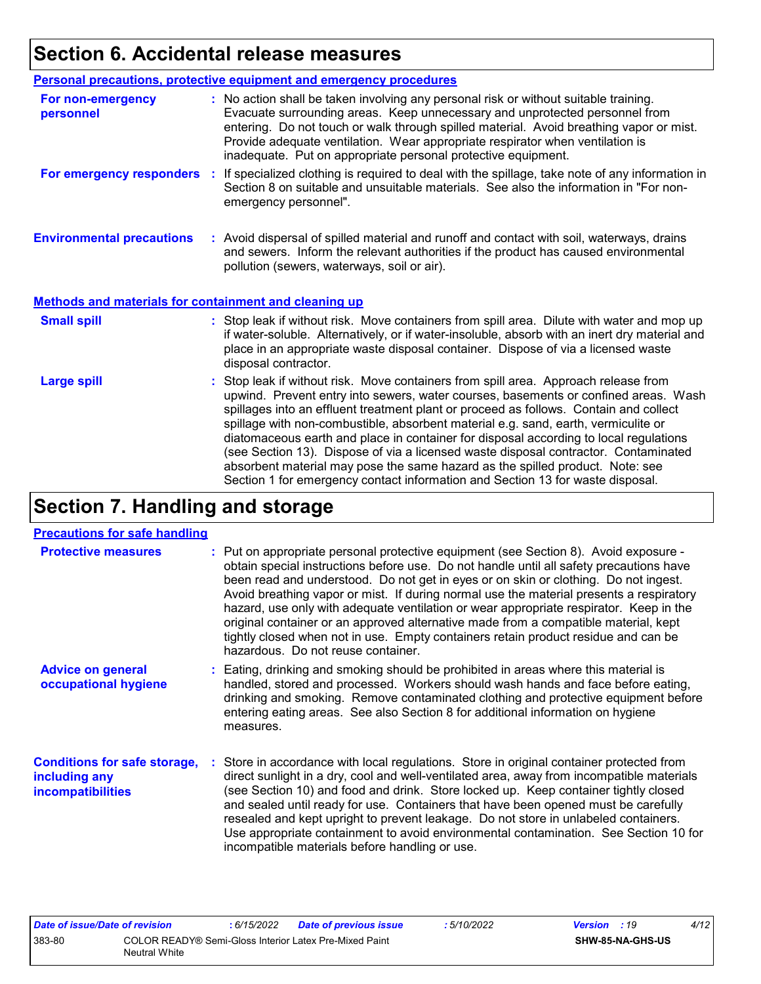## **Section 6. Accidental release measures**

|                                                              | Personal precautions, protective equipment and emergency procedures                                                                                                                                                                                                                                                                                                                                                                                                                                                                                                                                                                                                                                          |  |  |  |
|--------------------------------------------------------------|--------------------------------------------------------------------------------------------------------------------------------------------------------------------------------------------------------------------------------------------------------------------------------------------------------------------------------------------------------------------------------------------------------------------------------------------------------------------------------------------------------------------------------------------------------------------------------------------------------------------------------------------------------------------------------------------------------------|--|--|--|
| For non-emergency<br>personnel                               | : No action shall be taken involving any personal risk or without suitable training.<br>Evacuate surrounding areas. Keep unnecessary and unprotected personnel from<br>entering. Do not touch or walk through spilled material. Avoid breathing vapor or mist.<br>Provide adequate ventilation. Wear appropriate respirator when ventilation is<br>inadequate. Put on appropriate personal protective equipment.                                                                                                                                                                                                                                                                                             |  |  |  |
| For emergency responders                                     | : If specialized clothing is required to deal with the spillage, take note of any information in<br>Section 8 on suitable and unsuitable materials. See also the information in "For non-<br>emergency personnel".                                                                                                                                                                                                                                                                                                                                                                                                                                                                                           |  |  |  |
| <b>Environmental precautions</b>                             | : Avoid dispersal of spilled material and runoff and contact with soil, waterways, drains<br>and sewers. Inform the relevant authorities if the product has caused environmental<br>pollution (sewers, waterways, soil or air).                                                                                                                                                                                                                                                                                                                                                                                                                                                                              |  |  |  |
| <b>Methods and materials for containment and cleaning up</b> |                                                                                                                                                                                                                                                                                                                                                                                                                                                                                                                                                                                                                                                                                                              |  |  |  |
| <b>Small spill</b>                                           | : Stop leak if without risk. Move containers from spill area. Dilute with water and mop up<br>if water-soluble. Alternatively, or if water-insoluble, absorb with an inert dry material and<br>place in an appropriate waste disposal container. Dispose of via a licensed waste<br>disposal contractor.                                                                                                                                                                                                                                                                                                                                                                                                     |  |  |  |
| <b>Large spill</b>                                           | : Stop leak if without risk. Move containers from spill area. Approach release from<br>upwind. Prevent entry into sewers, water courses, basements or confined areas. Wash<br>spillages into an effluent treatment plant or proceed as follows. Contain and collect<br>spillage with non-combustible, absorbent material e.g. sand, earth, vermiculite or<br>diatomaceous earth and place in container for disposal according to local regulations<br>(see Section 13). Dispose of via a licensed waste disposal contractor. Contaminated<br>absorbent material may pose the same hazard as the spilled product. Note: see<br>Section 1 for emergency contact information and Section 13 for waste disposal. |  |  |  |

## **Section 7. Handling and storage**

#### **Precautions for safe handling**

| <b>Protective measures</b>                                                | : Put on appropriate personal protective equipment (see Section 8). Avoid exposure -<br>obtain special instructions before use. Do not handle until all safety precautions have<br>been read and understood. Do not get in eyes or on skin or clothing. Do not ingest.<br>Avoid breathing vapor or mist. If during normal use the material presents a respiratory<br>hazard, use only with adequate ventilation or wear appropriate respirator. Keep in the<br>original container or an approved alternative made from a compatible material, kept<br>tightly closed when not in use. Empty containers retain product residue and can be<br>hazardous. Do not reuse container. |
|---------------------------------------------------------------------------|--------------------------------------------------------------------------------------------------------------------------------------------------------------------------------------------------------------------------------------------------------------------------------------------------------------------------------------------------------------------------------------------------------------------------------------------------------------------------------------------------------------------------------------------------------------------------------------------------------------------------------------------------------------------------------|
| <b>Advice on general</b><br>occupational hygiene                          | : Eating, drinking and smoking should be prohibited in areas where this material is<br>handled, stored and processed. Workers should wash hands and face before eating,<br>drinking and smoking. Remove contaminated clothing and protective equipment before<br>entering eating areas. See also Section 8 for additional information on hygiene<br>measures.                                                                                                                                                                                                                                                                                                                  |
| <b>Conditions for safe storage,</b><br>including any<br>incompatibilities | : Store in accordance with local regulations. Store in original container protected from<br>direct sunlight in a dry, cool and well-ventilated area, away from incompatible materials<br>(see Section 10) and food and drink. Store locked up. Keep container tightly closed<br>and sealed until ready for use. Containers that have been opened must be carefully<br>resealed and kept upright to prevent leakage. Do not store in unlabeled containers.<br>Use appropriate containment to avoid environmental contamination. See Section 10 for<br>incompatible materials before handling or use.                                                                            |

| Date of issue/Date of revision |                                                                         | . 6/15/2022 | Date of previous issue | : 5/10/2022 | <b>Version</b> : 19 |                         | 4/12 |
|--------------------------------|-------------------------------------------------------------------------|-------------|------------------------|-------------|---------------------|-------------------------|------|
| 383-80                         | COLOR READY® Semi-Gloss Interior Latex Pre-Mixed Paint<br>Neutral White |             |                        |             |                     | <b>SHW-85-NA-GHS-US</b> |      |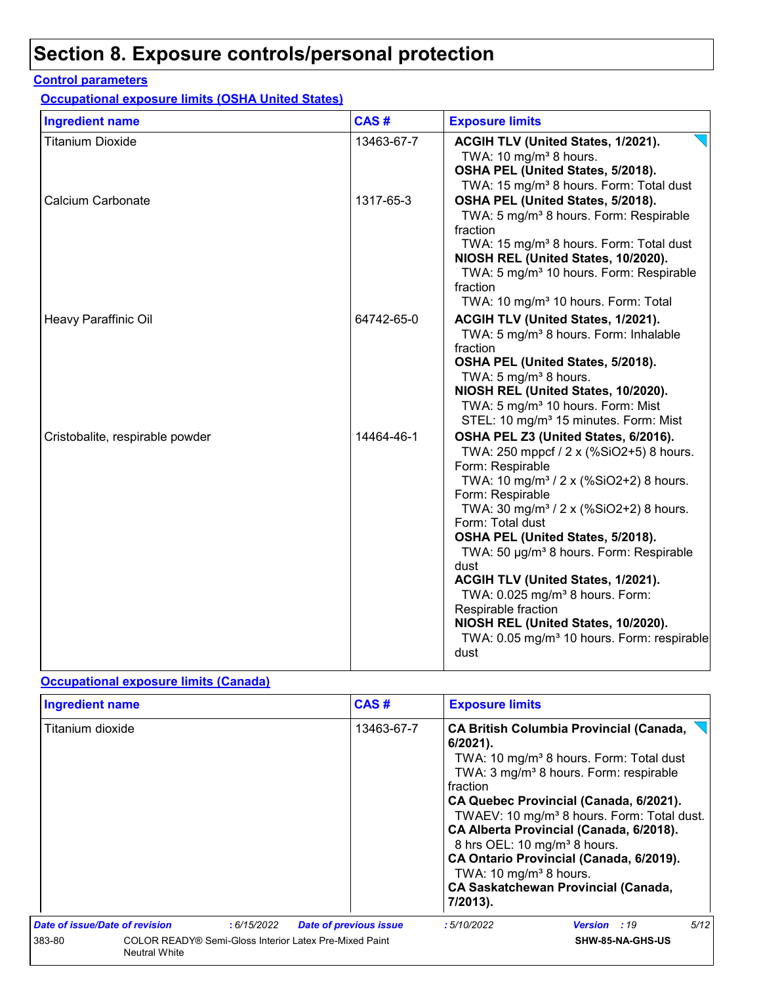## **Section 8. Exposure controls/personal protection**

#### **Control parameters**

**Occupational exposure limits (OSHA United States)**

| <b>Ingredient name</b>          | CAS#       | <b>Exposure limits</b>                                                                                                                                                                                                                                                                                                                                                                                                                                                                                                                                                           |
|---------------------------------|------------|----------------------------------------------------------------------------------------------------------------------------------------------------------------------------------------------------------------------------------------------------------------------------------------------------------------------------------------------------------------------------------------------------------------------------------------------------------------------------------------------------------------------------------------------------------------------------------|
| <b>Titanium Dioxide</b>         | 13463-67-7 | ACGIH TLV (United States, 1/2021).<br>TWA: 10 mg/m <sup>3</sup> 8 hours.<br>OSHA PEL (United States, 5/2018).<br>TWA: 15 mg/m <sup>3</sup> 8 hours. Form: Total dust                                                                                                                                                                                                                                                                                                                                                                                                             |
| Calcium Carbonate               | 1317-65-3  | OSHA PEL (United States, 5/2018).<br>TWA: 5 mg/m <sup>3</sup> 8 hours. Form: Respirable<br>fraction<br>TWA: 15 mg/m <sup>3</sup> 8 hours. Form: Total dust<br>NIOSH REL (United States, 10/2020).<br>TWA: 5 mg/m <sup>3</sup> 10 hours. Form: Respirable<br>fraction<br>TWA: 10 mg/m <sup>3</sup> 10 hours. Form: Total                                                                                                                                                                                                                                                          |
| Heavy Paraffinic Oil            | 64742-65-0 | ACGIH TLV (United States, 1/2021).<br>TWA: 5 mg/m <sup>3</sup> 8 hours. Form: Inhalable<br>fraction<br>OSHA PEL (United States, 5/2018).<br>TWA: 5 mg/m <sup>3</sup> 8 hours.<br>NIOSH REL (United States, 10/2020).<br>TWA: 5 mg/m <sup>3</sup> 10 hours. Form: Mist<br>STEL: 10 mg/m <sup>3</sup> 15 minutes. Form: Mist                                                                                                                                                                                                                                                       |
| Cristobalite, respirable powder | 14464-46-1 | OSHA PEL Z3 (United States, 6/2016).<br>TWA: 250 mppcf / 2 x (%SiO2+5) 8 hours.<br>Form: Respirable<br>TWA: 10 mg/m <sup>3</sup> / 2 x (%SiO2+2) 8 hours.<br>Form: Respirable<br>TWA: 30 mg/m <sup>3</sup> / 2 x (%SiO2+2) 8 hours.<br>Form: Total dust<br>OSHA PEL (United States, 5/2018).<br>TWA: 50 µg/m <sup>3</sup> 8 hours. Form: Respirable<br>dust<br>ACGIH TLV (United States, 1/2021).<br>TWA: 0.025 mg/m <sup>3</sup> 8 hours. Form:<br>Respirable fraction<br>NIOSH REL (United States, 10/2020).<br>TWA: 0.05 mg/m <sup>3</sup> 10 hours. Form: respirable<br>dust |

#### **Occupational exposure limits (Canada)**

| <b>Ingredient name</b>         |                                                                                |            |                               | CAS#       | <b>Exposure limits</b>                                                                                                |                                                                                                                                                                                                                                                                                                                                                                                                     |      |
|--------------------------------|--------------------------------------------------------------------------------|------------|-------------------------------|------------|-----------------------------------------------------------------------------------------------------------------------|-----------------------------------------------------------------------------------------------------------------------------------------------------------------------------------------------------------------------------------------------------------------------------------------------------------------------------------------------------------------------------------------------------|------|
| Titanium dioxide               |                                                                                |            |                               | 13463-67-7 | $6/2021$ ).<br>fraction<br>8 hrs OEL: 10 mg/m <sup>3</sup> 8 hours.<br>TWA: 10 mg/m <sup>3</sup> 8 hours.<br>7/2013). | <b>CA British Columbia Provincial (Canada,</b><br>TWA: 10 mg/m <sup>3</sup> 8 hours. Form: Total dust<br>TWA: 3 mg/m <sup>3</sup> 8 hours. Form: respirable<br>CA Quebec Provincial (Canada, 6/2021).<br>TWAEV: 10 mg/m <sup>3</sup> 8 hours. Form: Total dust.<br>CA Alberta Provincial (Canada, 6/2018).<br>CA Ontario Provincial (Canada, 6/2019).<br><b>CA Saskatchewan Provincial (Canada,</b> |      |
| Date of issue/Date of revision |                                                                                | :6/15/2022 | <b>Date of previous issue</b> |            | : 5/10/2022                                                                                                           | <b>Version</b> : 19                                                                                                                                                                                                                                                                                                                                                                                 | 5/12 |
| 383-80                         | COLOR READY® Semi-Gloss Interior Latex Pre-Mixed Paint<br><b>Neutral White</b> |            |                               |            |                                                                                                                       | SHW-85-NA-GHS-US                                                                                                                                                                                                                                                                                                                                                                                    |      |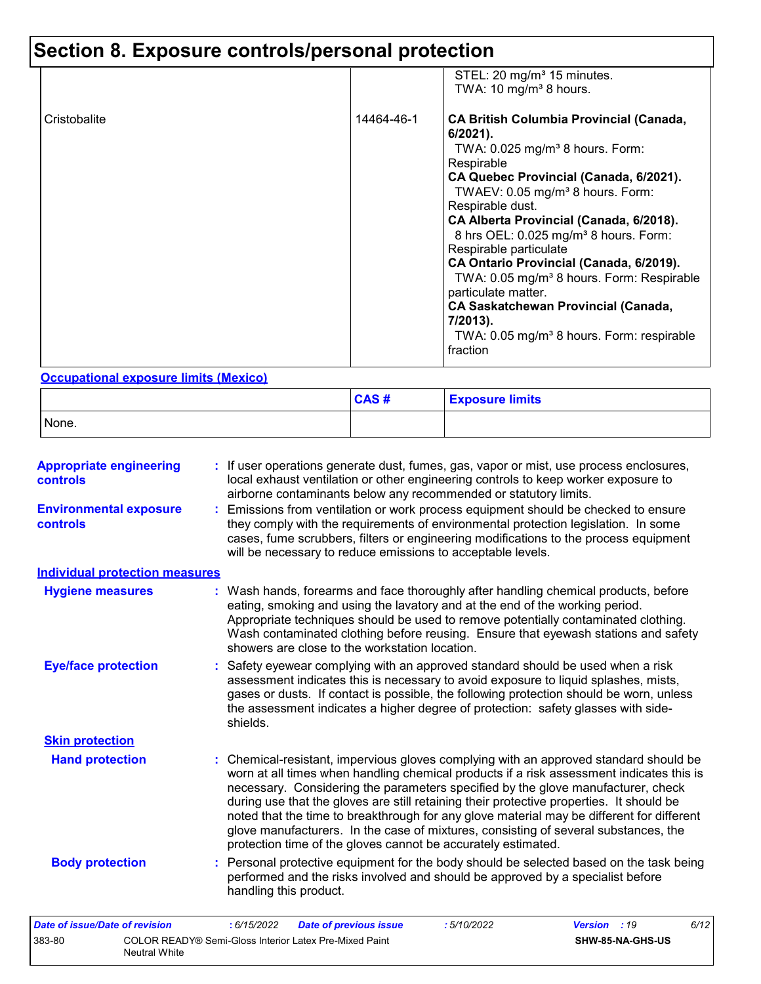## **Section 8. Exposure controls/personal protection**

|              |            | STEL: 20 mg/m <sup>3</sup> 15 minutes.<br>TWA: 10 mg/m <sup>3</sup> 8 hours.                                                                                                                                                                                                                                                                                                                                                                                                                                                                                                                                                   |
|--------------|------------|--------------------------------------------------------------------------------------------------------------------------------------------------------------------------------------------------------------------------------------------------------------------------------------------------------------------------------------------------------------------------------------------------------------------------------------------------------------------------------------------------------------------------------------------------------------------------------------------------------------------------------|
| Cristobalite | 14464-46-1 | <b>CA British Columbia Provincial (Canada,</b><br>$6/2021$ ).<br>TWA: $0.025$ mg/m <sup>3</sup> 8 hours. Form:<br>Respirable<br>CA Quebec Provincial (Canada, 6/2021).<br>TWAEV: 0.05 mg/m <sup>3</sup> 8 hours. Form:<br>Respirable dust.<br>CA Alberta Provincial (Canada, 6/2018).<br>8 hrs OEL: 0.025 mg/m <sup>3</sup> 8 hours. Form:<br>Respirable particulate<br>CA Ontario Provincial (Canada, 6/2019).<br>TWA: 0.05 mg/m <sup>3</sup> 8 hours. Form: Respirable<br>particulate matter.<br><b>CA Saskatchewan Provincial (Canada,</b><br>7/2013).<br>TWA: 0.05 mg/m <sup>3</sup> 8 hours. Form: respirable<br>fraction |

#### **Occupational exposure limits (Mexico)**

Neutral White

|       | CAS# | <b>Exposure limits</b> |
|-------|------|------------------------|
| None. |      |                        |

| <b>Appropriate engineering</b><br><b>controls</b> | : If user operations generate dust, fumes, gas, vapor or mist, use process enclosures,<br>local exhaust ventilation or other engineering controls to keep worker exposure to<br>airborne contaminants below any recommended or statutory limits.                                                                                                                                                                                                                                                                                                                                                                       |
|---------------------------------------------------|------------------------------------------------------------------------------------------------------------------------------------------------------------------------------------------------------------------------------------------------------------------------------------------------------------------------------------------------------------------------------------------------------------------------------------------------------------------------------------------------------------------------------------------------------------------------------------------------------------------------|
| <b>Environmental exposure</b><br>controls         | : Emissions from ventilation or work process equipment should be checked to ensure<br>they comply with the requirements of environmental protection legislation. In some<br>cases, fume scrubbers, filters or engineering modifications to the process equipment<br>will be necessary to reduce emissions to acceptable levels.                                                                                                                                                                                                                                                                                        |
| <b>Individual protection measures</b>             |                                                                                                                                                                                                                                                                                                                                                                                                                                                                                                                                                                                                                        |
| <b>Hygiene measures</b>                           | : Wash hands, forearms and face thoroughly after handling chemical products, before<br>eating, smoking and using the lavatory and at the end of the working period.<br>Appropriate techniques should be used to remove potentially contaminated clothing.<br>Wash contaminated clothing before reusing. Ensure that eyewash stations and safety<br>showers are close to the workstation location.                                                                                                                                                                                                                      |
| <b>Eye/face protection</b>                        | : Safety eyewear complying with an approved standard should be used when a risk<br>assessment indicates this is necessary to avoid exposure to liquid splashes, mists,<br>gases or dusts. If contact is possible, the following protection should be worn, unless<br>the assessment indicates a higher degree of protection: safety glasses with side-<br>shields.                                                                                                                                                                                                                                                     |
| <b>Skin protection</b>                            |                                                                                                                                                                                                                                                                                                                                                                                                                                                                                                                                                                                                                        |
| <b>Hand protection</b>                            | : Chemical-resistant, impervious gloves complying with an approved standard should be<br>worn at all times when handling chemical products if a risk assessment indicates this is<br>necessary. Considering the parameters specified by the glove manufacturer, check<br>during use that the gloves are still retaining their protective properties. It should be<br>noted that the time to breakthrough for any glove material may be different for different<br>glove manufacturers. In the case of mixtures, consisting of several substances, the<br>protection time of the gloves cannot be accurately estimated. |
| <b>Body protection</b>                            | : Personal protective equipment for the body should be selected based on the task being<br>performed and the risks involved and should be approved by a specialist before<br>handling this product.                                                                                                                                                                                                                                                                                                                                                                                                                    |
| Date of issue/Date of revision                    | 6/12<br>: 6/15/2022<br><b>Date of previous issue</b><br>:5/10/2022<br><b>Version</b> : 19                                                                                                                                                                                                                                                                                                                                                                                                                                                                                                                              |
| 383-80                                            | COLOR READY® Semi-Gloss Interior Latex Pre-Mixed Paint<br>SHW-85-NA-GHS-US                                                                                                                                                                                                                                                                                                                                                                                                                                                                                                                                             |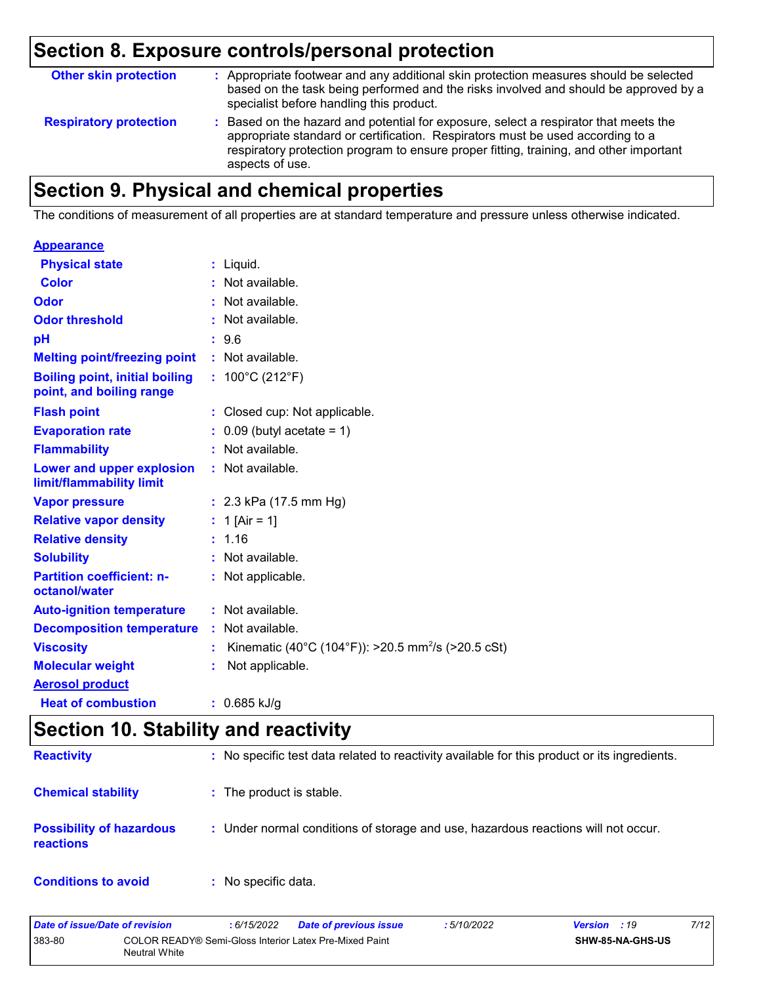## **Section 8. Exposure controls/personal protection**

| <b>Other skin protection</b>  | : Appropriate footwear and any additional skin protection measures should be selected<br>based on the task being performed and the risks involved and should be approved by a<br>specialist before handling this product.                                                           |
|-------------------------------|-------------------------------------------------------------------------------------------------------------------------------------------------------------------------------------------------------------------------------------------------------------------------------------|
| <b>Respiratory protection</b> | : Based on the hazard and potential for exposure, select a respirator that meets the<br>appropriate standard or certification. Respirators must be used according to a<br>respiratory protection program to ensure proper fitting, training, and other important<br>aspects of use. |

## **Section 9. Physical and chemical properties**

The conditions of measurement of all properties are at standard temperature and pressure unless otherwise indicated.

| $:$ Liquid.                                                          |
|----------------------------------------------------------------------|
| : Not available.                                                     |
| : Not available.                                                     |
| : Not available.                                                     |
| : 9.6                                                                |
| : Not available.                                                     |
| : $100^{\circ}$ C (212 $^{\circ}$ F)                                 |
| : Closed cup: Not applicable.                                        |
| $0.09$ (butyl acetate = 1)                                           |
| : Not available.                                                     |
| : Not available.                                                     |
| : $2.3$ kPa (17.5 mm Hg)                                             |
| : 1 [Air = 1]                                                        |
| : 1.16                                                               |
| : Not available.                                                     |
| : Not applicable.                                                    |
| : Not available.                                                     |
| : Not available.                                                     |
| Kinematic (40°C (104°F)): >20.5 mm <sup>2</sup> /s (>20.5 cSt)<br>÷. |
| Not applicable.                                                      |
|                                                                      |
| $: 0.685$ kJ/g                                                       |
|                                                                      |

## **Section 10. Stability and reactivity**

| <b>Reactivity</b>                            | : No specific test data related to reactivity available for this product or its ingredients. |
|----------------------------------------------|----------------------------------------------------------------------------------------------|
| <b>Chemical stability</b>                    | : The product is stable.                                                                     |
| <b>Possibility of hazardous</b><br>reactions | : Under normal conditions of storage and use, hazardous reactions will not occur.            |
| <b>Conditions to avoid</b>                   | $:$ No specific data.                                                                        |

| Date of issue/Date of revision |               | : 6/15/2022 | <b>Date of previous issue</b>                          | 5/10/2022 | <b>Version</b> : 19 | 7/12 |
|--------------------------------|---------------|-------------|--------------------------------------------------------|-----------|---------------------|------|
| 383-80                         | Neutral White |             | COLOR READY® Semi-Gloss Interior Latex Pre-Mixed Paint |           | SHW-85-NA-GHS-US    |      |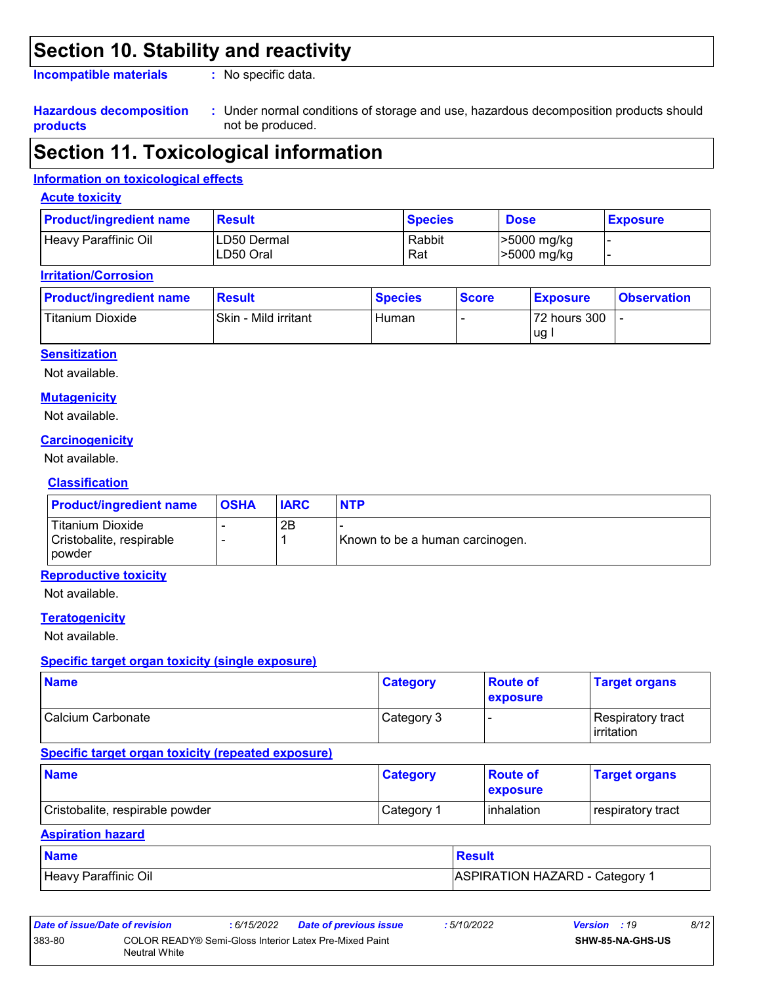## **Section 10. Stability and reactivity**

**Incompatible materials :**

: No specific data.

#### **Hazardous decomposition products**

Under normal conditions of storage and use, hazardous decomposition products should **:** not be produced.

## **Section 11. Toxicological information**

#### **Information on toxicological effects**

#### **Acute toxicity**

| <b>Product/ingredient name</b> | <b>Result</b>            | <b>Species</b> | <b>Dose</b>                      | <b>Exposure</b> |
|--------------------------------|--------------------------|----------------|----------------------------------|-----------------|
| Heavy Paraffinic Oil           | LD50 Dermal<br>LD50 Oral | Rabbit<br>Rat  | >5000 mg/kg<br>$\geq 5000$ mg/kg |                 |

#### **Irritation/Corrosion**

| <b>Product/ingredient name</b> | <b>Result</b>        | <b>Species</b> | <b>Score</b> | <b>Exposure</b>    | <b>Observation</b> |
|--------------------------------|----------------------|----------------|--------------|--------------------|--------------------|
| Titanium Dioxide               | Skin - Mild irritant | Human          |              | 72 hours 300<br>ug |                    |

#### **Sensitization**

Not available.

#### **Mutagenicity**

Not available.

#### **Carcinogenicity**

Not available.

#### **Classification**

| <b>Product/ingredient name</b>                                | <b>OSHA</b> | <b>IARC</b> | <b>NTP</b>                      |
|---------------------------------------------------------------|-------------|-------------|---------------------------------|
| Titanium Dioxide<br>Cristobalite, respirable<br><b>powder</b> |             | 2B          | Known to be a human carcinogen. |

#### **Reproductive toxicity**

Not available.

#### **Teratogenicity**

Not available.

#### **Specific target organ toxicity (single exposure)**

| <b>Name</b>       | <b>Category</b> | <b>Route of</b><br><b>exposure</b> | <b>Target organs</b>              |
|-------------------|-----------------|------------------------------------|-----------------------------------|
| Calcium Carbonate | Category 3      |                                    | Respiratory tract<br>l irritation |

#### **Specific target organ toxicity (repeated exposure)**

| <b>Name</b>                     | <b>Category</b>        | <b>Route of</b><br><b>exposure</b> | <b>Target organs</b> |
|---------------------------------|------------------------|------------------------------------|----------------------|
| Cristobalite, respirable powder | ⊩Category <sup>≁</sup> | <b>l</b> inhalation                | respiratory tract    |

#### **Aspiration hazard**

| <b>Name</b>          | <b>Result</b>                |
|----------------------|------------------------------|
| Heavy Paraffinic Oil | ASPIRATION HAZARD - Category |

| Date of issue/Date of revision |                                                                         | : 6/15/2022 | <b>Date of previous issue</b> | : 5/10/2022 | <b>Version</b> : 19 |                         | 8/12 |
|--------------------------------|-------------------------------------------------------------------------|-------------|-------------------------------|-------------|---------------------|-------------------------|------|
| 383-80                         | COLOR READY® Semi-Gloss Interior Latex Pre-Mixed Paint<br>Neutral White |             |                               |             |                     | <b>SHW-85-NA-GHS-US</b> |      |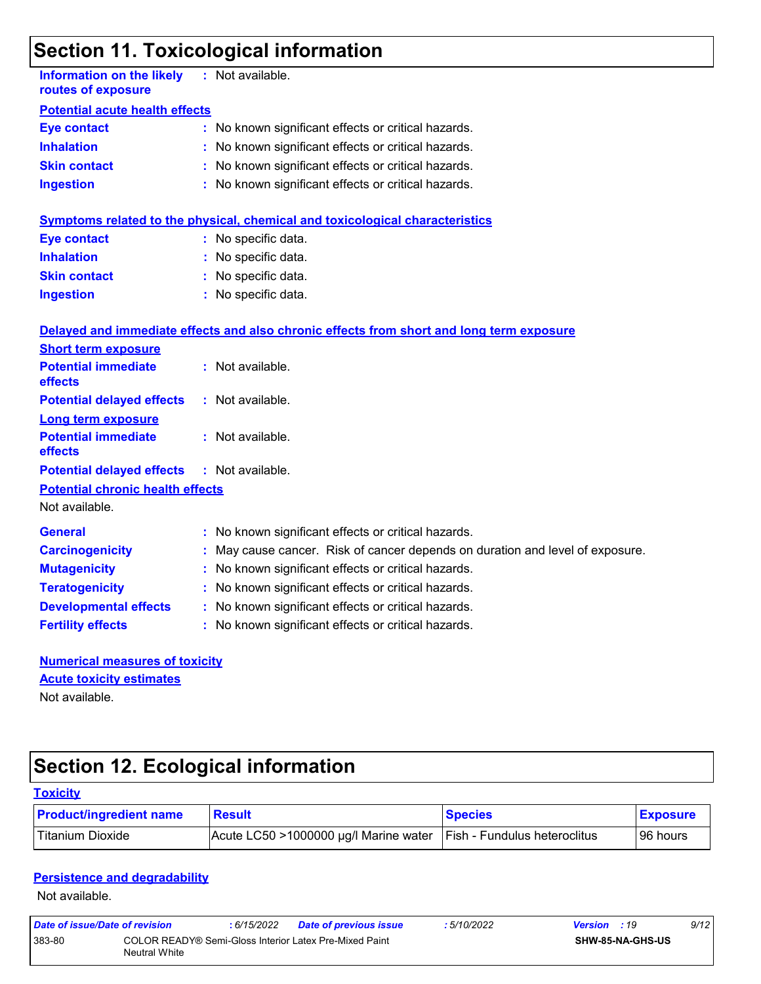## **Section 11. Toxicological information**

| <b>Information on the likely</b><br>routes of exposure    |  | : Not available.                                                                         |  |  |  |  |
|-----------------------------------------------------------|--|------------------------------------------------------------------------------------------|--|--|--|--|
| <b>Potential acute health effects</b>                     |  |                                                                                          |  |  |  |  |
| <b>Eye contact</b>                                        |  | : No known significant effects or critical hazards.                                      |  |  |  |  |
| <b>Inhalation</b>                                         |  | : No known significant effects or critical hazards.                                      |  |  |  |  |
| <b>Skin contact</b>                                       |  | No known significant effects or critical hazards.                                        |  |  |  |  |
| <b>Ingestion</b>                                          |  | : No known significant effects or critical hazards.                                      |  |  |  |  |
|                                                           |  | <b>Symptoms related to the physical, chemical and toxicological characteristics</b>      |  |  |  |  |
| <b>Eye contact</b>                                        |  | : No specific data.                                                                      |  |  |  |  |
| <b>Inhalation</b>                                         |  | : No specific data.                                                                      |  |  |  |  |
| <b>Skin contact</b>                                       |  | : No specific data.                                                                      |  |  |  |  |
| <b>Ingestion</b>                                          |  | : No specific data.                                                                      |  |  |  |  |
|                                                           |  | Delayed and immediate effects and also chronic effects from short and long term exposure |  |  |  |  |
| <b>Short term exposure</b>                                |  |                                                                                          |  |  |  |  |
| <b>Potential immediate</b><br>effects                     |  | : Not available.                                                                         |  |  |  |  |
| <b>Potential delayed effects</b>                          |  | : Not available.                                                                         |  |  |  |  |
| <b>Long term exposure</b>                                 |  |                                                                                          |  |  |  |  |
| <b>Potential immediate</b><br>effects                     |  | : Not available.                                                                         |  |  |  |  |
| <b>Potential delayed effects</b>                          |  | : Not available.                                                                         |  |  |  |  |
| <b>Potential chronic health effects</b><br>Not available. |  |                                                                                          |  |  |  |  |
| <b>General</b>                                            |  | : No known significant effects or critical hazards.                                      |  |  |  |  |
| <b>Carcinogenicity</b>                                    |  | : May cause cancer. Risk of cancer depends on duration and level of exposure.            |  |  |  |  |
| <b>Mutagenicity</b>                                       |  | No known significant effects or critical hazards.                                        |  |  |  |  |
| <b>Teratogenicity</b>                                     |  | : No known significant effects or critical hazards.                                      |  |  |  |  |
| <b>Developmental effects</b>                              |  | : No known significant effects or critical hazards.                                      |  |  |  |  |
| <b>Fertility effects</b>                                  |  | : No known significant effects or critical hazards.                                      |  |  |  |  |
| <b>Numerical measures of toxicity</b>                     |  |                                                                                          |  |  |  |  |
| <b>Acute toxicity estimates</b>                           |  |                                                                                          |  |  |  |  |
| Not available.                                            |  |                                                                                          |  |  |  |  |

# **Section 12. Ecological information**

| <b>Toxicity</b>                |                                       |                                     |                 |
|--------------------------------|---------------------------------------|-------------------------------------|-----------------|
| <b>Product/ingredient name</b> | <b>Result</b>                         | <b>Species</b>                      | <b>Exposure</b> |
| Titanium Dioxide               | Acute LC50 >1000000 µg/l Marine water | <b>Fish - Fundulus heteroclitus</b> | 96 hours        |

#### **Persistence and degradability**

Not available.

| Date of issue/Date of revision |                                                                                | : 6/15/2022 | Date of previous issue | : 5/10/2022 | <b>Version</b> : 19 |                         | 9/12 |
|--------------------------------|--------------------------------------------------------------------------------|-------------|------------------------|-------------|---------------------|-------------------------|------|
| 383-80                         | COLOR READY® Semi-Gloss Interior Latex Pre-Mixed Paint<br><b>Neutral White</b> |             |                        |             |                     | <b>SHW-85-NA-GHS-US</b> |      |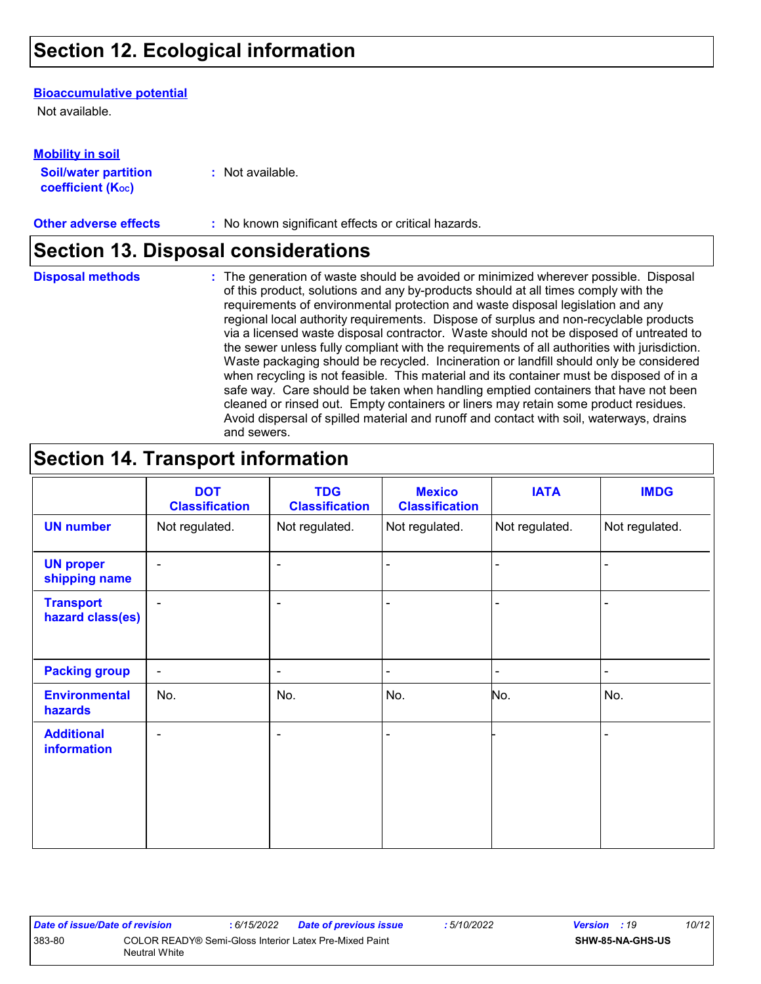## **Section 12. Ecological information**

#### **Bioaccumulative potential**

Not available.

**Mobility in soil**

| IVIVIJILY III JVII          |                  |
|-----------------------------|------------------|
| <b>Soil/water partition</b> | : Not available. |
| <b>coefficient (Koc)</b>    |                  |

**Other adverse effects** : No known significant effects or critical hazards.

### **Section 13. Disposal considerations**

**Disposal methods :**

The generation of waste should be avoided or minimized wherever possible. Disposal of this product, solutions and any by-products should at all times comply with the requirements of environmental protection and waste disposal legislation and any regional local authority requirements. Dispose of surplus and non-recyclable products via a licensed waste disposal contractor. Waste should not be disposed of untreated to the sewer unless fully compliant with the requirements of all authorities with jurisdiction. Waste packaging should be recycled. Incineration or landfill should only be considered when recycling is not feasible. This material and its container must be disposed of in a safe way. Care should be taken when handling emptied containers that have not been cleaned or rinsed out. Empty containers or liners may retain some product residues. Avoid dispersal of spilled material and runoff and contact with soil, waterways, drains and sewers.

## **Section 14. Transport information**

|                                      | <b>DOT</b><br><b>Classification</b> | <b>TDG</b><br><b>Classification</b> | <b>Mexico</b><br><b>Classification</b> | <b>IATA</b>    | <b>IMDG</b>    |
|--------------------------------------|-------------------------------------|-------------------------------------|----------------------------------------|----------------|----------------|
| <b>UN number</b>                     | Not regulated.                      | Not regulated.                      | Not regulated.                         | Not regulated. | Not regulated. |
| <b>UN proper</b><br>shipping name    | $\blacksquare$                      | $\blacksquare$                      |                                        |                |                |
| <b>Transport</b><br>hazard class(es) | $\blacksquare$                      | $\overline{\phantom{a}}$            |                                        |                |                |
| <b>Packing group</b>                 | $\overline{\phantom{a}}$            | ۰                                   | $\blacksquare$                         |                | -              |
| <b>Environmental</b><br>hazards      | No.                                 | No.                                 | No.                                    | No.            | No.            |
| <b>Additional</b><br>information     | $\blacksquare$                      | $\blacksquare$                      | $\blacksquare$                         |                |                |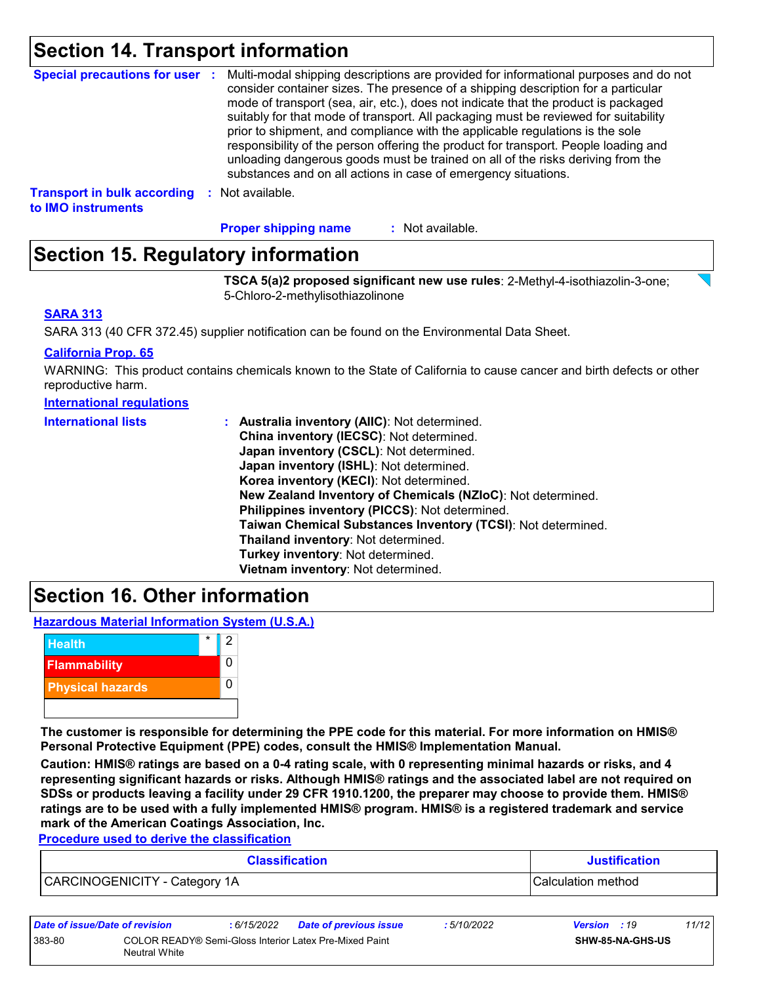### **Section 14. Transport information**

| <b>Special precautions for user :</b> | Multi-modal shipping descriptions are provided for informational purposes and do not<br>consider container sizes. The presence of a shipping description for a particular<br>mode of transport (sea, air, etc.), does not indicate that the product is packaged<br>suitably for that mode of transport. All packaging must be reviewed for suitability<br>prior to shipment, and compliance with the applicable regulations is the sole<br>responsibility of the person offering the product for transport. People loading and<br>unloading dangerous goods must be trained on all of the risks deriving from the<br>substances and on all actions in case of emergency situations. |
|---------------------------------------|-------------------------------------------------------------------------------------------------------------------------------------------------------------------------------------------------------------------------------------------------------------------------------------------------------------------------------------------------------------------------------------------------------------------------------------------------------------------------------------------------------------------------------------------------------------------------------------------------------------------------------------------------------------------------------------|
| <b>Transport in bulk according</b>    | Not available.                                                                                                                                                                                                                                                                                                                                                                                                                                                                                                                                                                                                                                                                      |
| to IMO instruments                    | -9                                                                                                                                                                                                                                                                                                                                                                                                                                                                                                                                                                                                                                                                                  |

: Not available. **Proper shipping name :**

## **Section 15. Regulatory information**

**TSCA 5(a)2 proposed significant new use rules**: 2-Methyl-4-isothiazolin-3-one; 5-Chloro-2-methylisothiazolinone

#### **SARA 313**

SARA 313 (40 CFR 372.45) supplier notification can be found on the Environmental Data Sheet.

#### **California Prop. 65**

WARNING: This product contains chemicals known to the State of California to cause cancer and birth defects or other reproductive harm.

#### **International regulations**

| <b>International lists</b> | : Australia inventory (AIIC): Not determined.                |
|----------------------------|--------------------------------------------------------------|
|                            | China inventory (IECSC): Not determined.                     |
|                            | Japan inventory (CSCL): Not determined.                      |
|                            | Japan inventory (ISHL): Not determined.                      |
|                            | Korea inventory (KECI): Not determined.                      |
|                            | New Zealand Inventory of Chemicals (NZIoC): Not determined.  |
|                            | Philippines inventory (PICCS): Not determined.               |
|                            | Taiwan Chemical Substances Inventory (TCSI): Not determined. |
|                            | Thailand inventory: Not determined.                          |
|                            | Turkey inventory: Not determined.                            |
|                            | Vietnam inventory: Not determined.                           |

### **Section 16. Other information**

**Hazardous Material Information System (U.S.A.)**



**The customer is responsible for determining the PPE code for this material. For more information on HMIS® Personal Protective Equipment (PPE) codes, consult the HMIS® Implementation Manual.**

**Caution: HMIS® ratings are based on a 0-4 rating scale, with 0 representing minimal hazards or risks, and 4 representing significant hazards or risks. Although HMIS® ratings and the associated label are not required on SDSs or products leaving a facility under 29 CFR 1910.1200, the preparer may choose to provide them. HMIS® ratings are to be used with a fully implemented HMIS® program. HMIS® is a registered trademark and service mark of the American Coatings Association, Inc.**

**Procedure used to derive the classification**

| <b>Classification</b>         | <b>Justification</b> |
|-------------------------------|----------------------|
| CARCINOGENICITY - Category 1A | l Calculation method |

| Date of issue/Date of revision |                                                                         | : 6/15/2022 | <b>Date of previous issue</b> | 5/10/2022 | <b>Version</b> : 19 |                  | 11/12 |
|--------------------------------|-------------------------------------------------------------------------|-------------|-------------------------------|-----------|---------------------|------------------|-------|
| 383-80                         | COLOR READY® Semi-Gloss Interior Latex Pre-Mixed Paint<br>Neutral White |             |                               |           |                     | SHW-85-NA-GHS-US |       |